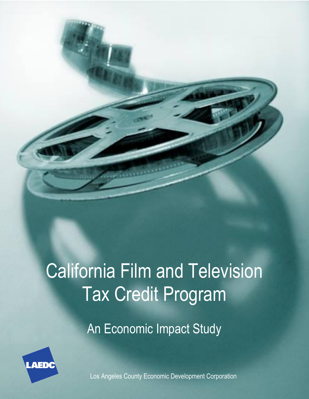# California Film and Television Tax Credit Program

An Economic Impact Study



Los Angeles County Economic Development Corporation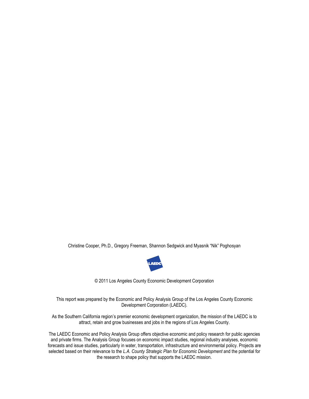Christine Cooper, Ph.D., Gregory Freeman, Shannon Sedgwick and Myasnik "Nik" Poghosyan



© 2011 Los Angeles County Economic Development Corporation

This report was prepared by the Economic and Policy Analysis Group of the Los Angeles County Economic Development Corporation (LAEDC).

As the Southern California region's premier economic development organization, the mission of the LAEDC is to attract, retain and grow businesses and jobs in the regions of Los Angeles County.

The LAEDC Economic and Policy Analysis Group offers objective economic and policy research for public agencies and private firms. The Analysis Group focuses on economic impact studies, regional industry analyses, economic forecasts and issue studies, particularly in water, transportation, infrastructure and environmental policy. Projects are selected based on their relevance to the *L.A. County Strategic Plan for Economic Development* and the potential for the research to shape policy that supports the LAEDC mission.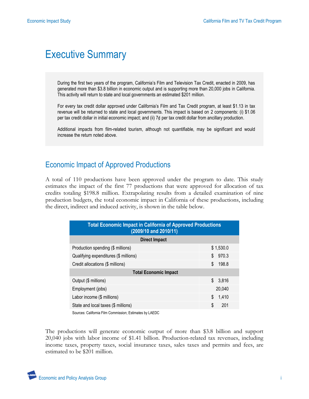## Executive Summary

During the first two years of the program, California's Film and Television Tax Credit, enacted in 2009, has generated more than \$3.8 billion in economic output and is supporting more than 20,000 jobs in California. This activity will return to state and local governments an estimated \$201 million.

For every tax credit dollar approved under California's Film and Tax Credit program, at least \$1.13 in tax revenue will be returned to state and local governments. This impact is based on 2 components: (i) \$1.06 per tax credit dollar in initial economic impact; and (ii) 7¢ per tax credit dollar from ancillary production.

Additional impacts from film-related tourism, although not quantifiable, may be significant and would increase the return noted above.

#### Economic Impact of Approved Productions

A total of 110 productions have been approved under the program to date. This study estimates the impact of the first 77 productions that were approved for allocation of tax credits totaling \$198.8 million. Extrapolating results from a detailed examination of nine production budgets, the total economic impact in California of these productions, including the direct, indirect and induced activity, is shown in the table below.

| <b>Total Economic Impact in California of Approved Productions</b><br>(2009/10 and 2010/11) |             |  |
|---------------------------------------------------------------------------------------------|-------------|--|
| <b>Direct Impact</b>                                                                        |             |  |
| Production spending (\$ millions)                                                           | \$1,530.0   |  |
| Qualifying expenditures (\$ millions)                                                       | \$<br>970.3 |  |
| Credit allocations (\$ millions)                                                            | \$<br>198.8 |  |
| <b>Total Economic Impact</b>                                                                |             |  |
| Output (\$ millions)                                                                        | \$<br>3,816 |  |
| Employment (jobs)                                                                           |             |  |
| Labor income (\$ millions)                                                                  | \$<br>1,410 |  |
| State and local taxes (\$ millions)                                                         | \$<br>201   |  |

Sources: California Film Commission; Estimates by LAEDC

The productions will generate economic output of more than \$3.8 billion and support 20,040 jobs with labor income of \$1.41 billion. Production-related tax revenues, including income taxes, property taxes, social insurance taxes, sales taxes and permits and fees, are estimated to be \$201 million.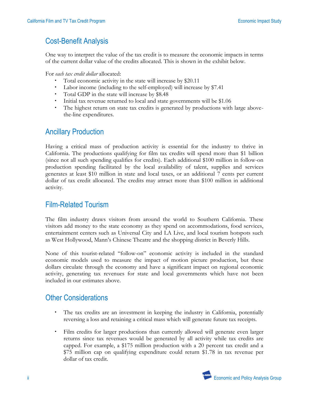#### Cost-Benefit Analysis

One way to interpret the value of the tax credit is to measure the economic impacts in terms of the current dollar value of the credits allocated. This is shown in the exhibit below.

For *each tax credit dollar* allocated:

- Total economic activity in the state will increase by \$20.11
- Labor income (including to the self-employed) will increase by \$7.41
- Total GDP in the state will increase by \$8.48
- Initial tax revenue returned to local and state governments will be \$1.06
- The highest return on state tax credits is generated by productions with large abovethe-line expenditures.

#### Ancillary Production

Having a critical mass of production activity is essential for the industry to thrive in California. The productions qualifying for film tax credits will spend more than \$1 billion (since not all such spending qualifies for credits). Each additional \$100 million in follow-on production spending facilitated by the local availability of talent, supplies and services generates at least \$10 million in state and local taxes, or an additional 7 cents per current dollar of tax credit allocated. The credits may attract more than \$100 million in additional activity.

#### Film-Related Tourism

The film industry draws visitors from around the world to Southern California. These visitors add money to the state economy as they spend on accommodations, food services, entertainment centers such as Universal City and LA Live, and local tourism hotspots such as West Hollywood, Mann's Chinese Theatre and the shopping district in Beverly Hills.

None of this tourist-related "follow-on" economic activity is included in the standard economic models used to measure the impact of motion picture production, but these dollars circulate through the economy and have a significant impact on regional economic activity, generating tax revenues for state and local governments which have not been included in our estimates above.

#### Other Considerations

- The tax credits are an investment in keeping the industry in California, potentially reversing a loss and retaining a critical mass which will generate future tax receipts.
- Film credits for larger productions than currently allowed will generate even larger returns since tax revenues would be generated by all activity while tax credits are capped. For example, a \$175 million production with a 20 percent tax credit and a \$75 million cap on qualifying expenditure could return \$1.78 in tax revenue per dollar of tax credit.

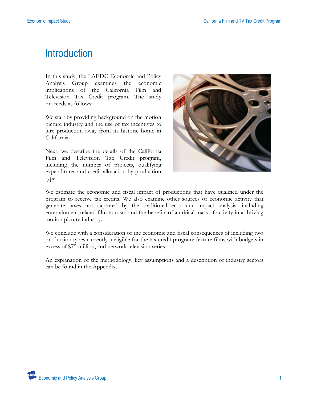## **Introduction**

In this study, the LAEDC Economic and Policy Analysis Group examines the economic implications of the California Film and Television Tax Credit program. The study proceeds as follows:

We start by providing background on the motion picture industry and the use of tax incentives to lure production away from its historic home in California.

Next, we describe the details of the California Film and Television Tax Credit program, including the number of projects, qualifying expenditures and credit allocation by production type.



We estimate the economic and fiscal impact of productions that have qualified under the program to receive tax credits. We also examine other sources of economic activity that generate taxes not captured by the traditional economic impact analysis, including entertainment-related film tourism and the benefits of a critical mass of activity in a thriving motion picture industry.

We conclude with a consideration of the economic and fiscal consequences of including two production types currently ineligible for the tax credit program: feature films with budgets in excess of \$75 million, and network television series.

An explanation of the methodology, key assumptions and a description of industry sectors can be found in the Appendix.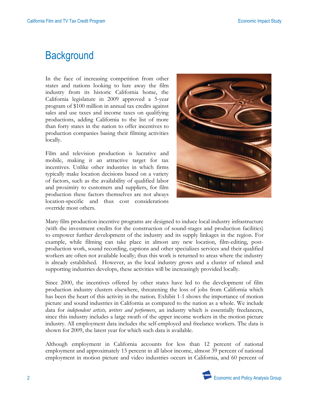## **Background**

In the face of increasing competition from other states and nations looking to lure away the film industry from its historic California home, the California legislature in 2009 approved a 5-year program of \$100 million in annual tax credits against sales and use taxes and income taxes on qualifying productions, adding California to the list of more than forty states in the nation to offer incentives to production companies basing their filming activities locally.

Film and television production is lucrative and mobile, making it an attractive target for tax incentives. Unlike other industries in which firms typically make location decisions based on a variety of factors, such as the availability of qualified labor and proximity to customers and suppliers, for film production these factors themselves are not always location-specific and thus cost considerations override most others.



Many film production incentive programs are designed to induce local industry infrastructure (with the investment credits for the construction of sound-stages and production facilities) to empower further development of the industry and its supply linkages in the region. For example, while filming can take place in almost any new location, film-editing, postproduction work, sound recording, captions and other specializes services and their qualified workers are often not available locally; thus this work is returned to areas where the industry is already established. However, as the local industry grows and a cluster of related and supporting industries develops, these activities will be increasingly provided locally.

Since 2000, the incentives offered by other states have led to the development of film production industry clusters elsewhere, threatening the loss of jobs from California which has been the heart of this activity in the nation. Exhibit 1-1 shows the importance of motion picture and sound industries in California as compared to the nation as a whole. We include data for *independent artists, writers and performers*, an industry which is essentially freelancers, since this industry includes a large swath of the upper income workers in the motion picture industry. All employment data includes the self-employed and freelance workers. The data is shown for 2009, the latest year for which such data is available.

Although employment in California accounts for less than 12 percent of national employment and approximately 13 percent in all labor income, almost 39 percent of national employment in motion picture and video industries occurs in California, and 60 percent of

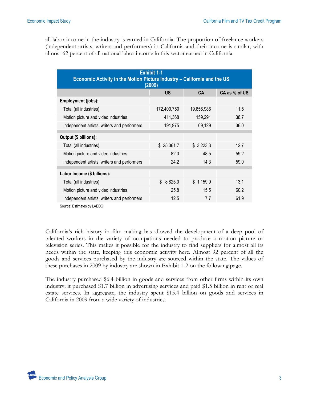all labor income in the industry is earned in California. The proportion of freelance workers (independent artists, writers and performers) in California and their income is similar, with almost 62 percent of all national labor income in this sector earned in California.

| <b>Exhibit 1-1</b><br>Economic Activity in the Motion Picture Industry - California and the US<br>(2009) |             |            |               |  |
|----------------------------------------------------------------------------------------------------------|-------------|------------|---------------|--|
|                                                                                                          | <b>US</b>   | CA         | CA as % of US |  |
| Employment (jobs):                                                                                       |             |            |               |  |
| Total (all industries)                                                                                   | 172,400,750 | 19,856,986 | 11.5          |  |
| Motion picture and video industries                                                                      | 411,368     | 159,291    | 38.7          |  |
| Independent artists, writers and performers                                                              | 191,975     | 69,129     | 36.0          |  |
|                                                                                                          |             |            |               |  |
| Output (\$ billions):                                                                                    |             |            |               |  |
| Total (all industries)                                                                                   | \$25,361.7  | \$3,223.3  | 12.7          |  |
| Motion picture and video industries                                                                      | 82.0        | 48.5       | 59.2          |  |
| Independent artists, writers and performers                                                              | 24.2        | 14.3       | 59.0          |  |
|                                                                                                          |             |            |               |  |
| Labor Income (\$ billions):                                                                              |             |            |               |  |
| Total (all industries)                                                                                   | \$8,825.0   | \$1,159.9  | 13.1          |  |
| Motion picture and video industries                                                                      | 25.8        | 15.5       | 60.2          |  |
| Independent artists, writers and performers                                                              | 12.5        | 7.7        | 61.9          |  |
|                                                                                                          |             |            |               |  |

Source: Estimates by LAEDC

California's rich history in film making has allowed the development of a deep pool of talented workers in the variety of occupations needed to produce a motion picture or television series. This makes it possible for the industry to find suppliers for almost all its needs within the state, keeping this economic activity here. Almost 92 percent of all the goods and services purchased by the industry are sourced within the state. The values of these purchases in 2009 by industry are shown in Exhibit 1-2 on the following page.

The industry purchased \$6.4 billion in goods and services from other firms within its own industry; it purchased \$1.7 billion in advertising services and paid \$1.5 billion in rent or real estate services. In aggregate, the industry spent \$15.4 billion on goods and services in California in 2009 from a wide variety of industries.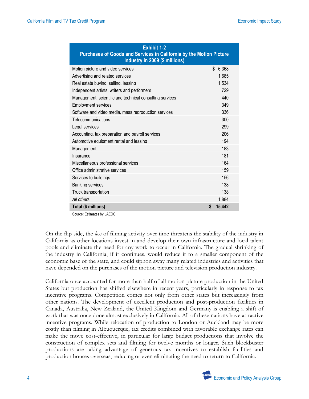| <b>Exhibit 1-2</b><br><b>Purchases of Goods and Services in California by the Motion Picture</b><br>Industry in 2009 (\$ millions) |              |
|------------------------------------------------------------------------------------------------------------------------------------|--------------|
| Motion picture and video services                                                                                                  | \$6.368      |
| Advertising and related services                                                                                                   | 1.685        |
| Real estate buving, selling, leasing                                                                                               | 1.534        |
| Independent artists, writers and performers                                                                                        | 729          |
| Management, scientific and technical consulting services                                                                           | 440          |
| <b>Employment services</b>                                                                                                         | 349          |
| Software and video media, mass reproduction services                                                                               | 336          |
| Telecommunications                                                                                                                 | 300          |
| Legal services                                                                                                                     | 299          |
| Accounting, tax preparation and payroll services                                                                                   | 206          |
| Automotive equipment rental and leasing                                                                                            | 194          |
| Management                                                                                                                         | 183          |
| Insurance                                                                                                                          | 181          |
| Miscellaneous professional services                                                                                                | 164          |
| Office administrative services                                                                                                     | 159          |
| Services to buildings                                                                                                              | 156          |
| Banking services                                                                                                                   | 138          |
| Truck transportation                                                                                                               | 138          |
| All others                                                                                                                         | 1.884        |
| Total (\$ millions)                                                                                                                | \$<br>15,442 |

Source: Estimates by LAEDC

On the flip side, the *loss* of filming activity over time threatens the stability of the industry in California as other locations invest in and develop their own infrastructure and local talent pools and eliminate the need for any work to occur in California. The gradual shrinking of the industry in California, if it continues, would reduce it to a smaller component of the economic base of the state, and could siphon away many related industries and activities that have depended on the purchases of the motion picture and television production industry.

California once accounted for more than half of all motion picture production in the United States but production has shifted elsewhere in recent years, particularly in response to tax incentive programs. Competition comes not only from other states but increasingly from other nations. The development of excellent production and post-production facilities in Canada, Australia, New Zealand, the United Kingdom and Germany is enabling a shift of work that was once done almost exclusively in California. All of these nations have attractive incentive programs. While relocation of production to London or Auckland may be more costly than filming in Albuquerque, tax credits combined with favorable exchange rates can make the move cost-effective, in particular for large budget productions that involve the construction of complex sets and filming for twelve months or longer. Such blockbuster productions are taking advantage of generous tax incentives to establish facilities and production houses overseas, reducing or even eliminating the need to return to California.

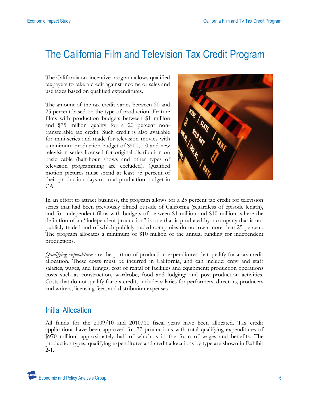## The California Film and Television Tax Credit Program

The California tax incentive program allows qualified taxpayers to take a credit against income or sales and use taxes based on qualified expenditures.

The amount of the tax credit varies between 20 and 25 percent based on the type of production. Feature films with production budgets between \$1 million and \$75 million qualify for a 20 percent nontransferable tax credit. Such credit is also available for mini-series and made-for-television movies with a minimum production budget of \$500,000 and new television series licensed for original distribution on basic cable (half-hour shows and other types of television programming are excluded). Qualified motion pictures must spend at least 75 percent of their production days or total production budget in CA.



In an effort to attract business, the program allows for a 25 percent tax credit for television series that had been previously filmed outside of California (regardless of episode length), and for independent films with budgets of between \$1 million and \$10 million, where the definition of an "independent production" is one that is produced by a company that is not publicly-traded and of which publicly-traded companies do not own more than 25 percent. The program allocates a minimum of \$10 million of the annual funding for independent productions.

*Qualifying expenditures* are the portion of production expenditures that qualify for a tax credit allocation. These costs must be incurred in California, and can include: crew and staff salaries, wages, and fringes; cost of rental of facilities and equipment; production operations costs such as construction, wardrobe, food and lodging; and post-production activities. Costs that do not qualify for tax credits include: salaries for performers, directors, producers and writers; licensing fees; and distribution expenses.

#### Initial Allocation

All funds for the 2009/10 and 2010/11 fiscal years have been allocated. Tax credit applications have been approved for 77 productions with total qualifying expenditures of \$970 million, approximately half of which is in the form of wages and benefits. The production types, qualifying expenditures and credit allocations by type are shown in Exhibit  $2-1.$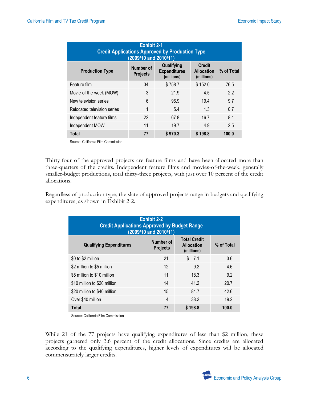| <b>Exhibit 2-1</b><br><b>Credit Applications Approved by Production Type</b><br>(2009/10 and 2010/11) |                              |                                                 |                                                  |            |
|-------------------------------------------------------------------------------------------------------|------------------------------|-------------------------------------------------|--------------------------------------------------|------------|
| <b>Production Type</b>                                                                                | Number of<br><b>Projects</b> | Qualifying<br><b>Expenditures</b><br>(millions) | <b>Credit</b><br><b>Allocation</b><br>(millions) | % of Total |
| Feature film                                                                                          | 34                           | \$758.7                                         | \$152.0                                          | 76.5       |
| Movie-of-the-week (MOW)                                                                               | 3                            | 21.9                                            | 4.5                                              | 2.2        |
| New television series                                                                                 | 6                            | 96.9                                            | 19.4                                             | 9.7        |
| Relocated television series                                                                           | 1                            | 5.4                                             | 1.3                                              | 0.7        |
| Independent feature films                                                                             | 22                           | 67.8                                            | 16.7                                             | 8.4        |
| Independent MOW                                                                                       | 11                           | 19.7                                            | 4.9                                              | 2.5        |
| Total                                                                                                 | 77                           | \$970.3                                         | \$198.8                                          | 100.0      |

Source: California Film Commission

Thirty-four of the approved projects are feature films and have been allocated more than three-quarters of the credits. Independent feature films and movies-of-the-week, generally smaller-budget productions, total thirty-three projects, with just over 10 percent of the credit allocations.

Regardless of production type, the slate of approved projects range in budgets and qualifying expenditures, as shown in Exhibit 2-2.

| <b>Exhibit 2-2</b><br><b>Credit Applications Approved by Budget Range</b><br>(2009/10 and 2010/11) |                              |                                                        |            |
|----------------------------------------------------------------------------------------------------|------------------------------|--------------------------------------------------------|------------|
| <b>Qualifying Expenditures</b>                                                                     | Number of<br><b>Projects</b> | <b>Total Credit</b><br><b>Allocation</b><br>(millions) | % of Total |
| \$0 to \$2 million                                                                                 | 21                           | \$7.1                                                  | 3.6        |
| \$2 million to \$5 million                                                                         | 12                           | 9.2                                                    | 4.6        |
| \$5 million to \$10 million                                                                        | 11                           | 18.3                                                   | 9.2        |
| \$10 million to \$20 million                                                                       | 14                           | 41.2                                                   | 20.7       |
| \$20 million to \$40 million                                                                       | 15                           | 84.7                                                   | 42.6       |
| Over \$40 million                                                                                  | 4                            | 38.2                                                   | 19.2       |
| Total                                                                                              | 77                           | \$198.8                                                | 100.0      |

Source: California Film Commission

While 21 of the 77 projects have qualifying expenditures of less than \$2 million, these projects garnered only 3.6 percent of the credit allocations. Since credits are allocated according to the qualifying expenditures, higher levels of expenditures will be allocated commensurately larger credits.

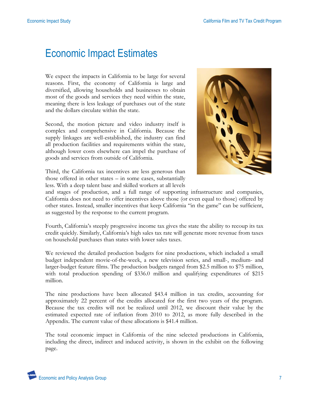## Economic Impact Estimates

We expect the impacts in California to be large for several reasons. First, the economy of California is large and diversified, allowing households and businesses to obtain most of the goods and services they need within the state, meaning there is less leakage of purchases out of the state and the dollars circulate within the state.

Second, the motion picture and video industry itself is complex and comprehensive in California. Because the supply linkages are well-established, the industry can find all production facilities and requirements within the state, although lower costs elsewhere can impel the purchase of goods and services from outside of California.



Third, the California tax incentives are less generous than those offered in other states – in some cases, substantially less. With a deep talent base and skilled workers at all levels

and stages of production, and a full range of supporting infrastructure and companies, California does not need to offer incentives above those (or even equal to those) offered by other states. Instead, smaller incentives that keep California "in the game" can be sufficient, as suggested by the response to the current program.

Fourth, California's steeply progressive income tax gives the state the ability to recoup its tax credit quickly. Similarly, California's high sales tax rate will generate more revenue from taxes on household purchases than states with lower sales taxes.

We reviewed the detailed production budgets for nine productions, which included a small budget independent movie-of-the-week, a new television series, and small-, medium- and larger-budget feature films. The production budgets ranged from \$2.5 million to \$75 million, with total production spending of \$336.0 million and qualifying expenditures of \$215 million.

The nine productions have been allocated \$43.4 million in tax credits, accounting for approximately 22 percent of the credits allocated for the first two years of the program. Because the tax credits will not be realized until 2012, we discount their value by the estimated expected rate of inflation from 2010 to 2012, as more fully described in the Appendix. The current value of these allocations is \$41.4 million.

The total economic impact in California of the nine selected productions in California, including the direct, indirect and induced activity, is shown in the exhibit on the following page.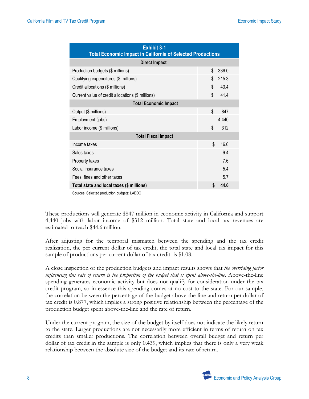| <b>Exhibit 3-1</b><br><b>Total Economic Impact in California of Selected Productions</b> |    |       |  |
|------------------------------------------------------------------------------------------|----|-------|--|
| <b>Direct Impact</b>                                                                     |    |       |  |
| Production budgets (\$ millions)                                                         | \$ | 336.0 |  |
| Qualifying expenditures (\$ millions)                                                    | \$ | 215.3 |  |
| Credit allocations (\$ millions)                                                         | \$ | 43.4  |  |
| Current value of credit allocations (\$ millions)                                        | \$ | 41.4  |  |
| <b>Total Economic Impact</b>                                                             |    |       |  |
| Output (\$ millions)                                                                     | \$ | 847   |  |
| Employment (jobs)                                                                        |    | 4,440 |  |
| Labor income (\$ millions)                                                               | \$ | 312   |  |
| <b>Total Fiscal Impact</b>                                                               |    |       |  |
| Income taxes                                                                             | \$ | 16.6  |  |
| Sales taxes                                                                              |    | 9.4   |  |
| Property taxes                                                                           |    | 7.6   |  |
| Social insurance taxes                                                                   |    | 5.4   |  |
| Fees, fines and other taxes                                                              |    | 5.7   |  |
| Total state and local taxes (\$ millions)                                                | \$ | 44.6  |  |

Sources: Selected production budgets; LAEDC

These productions will generate \$847 million in economic activity in California and support 4,440 jobs with labor income of \$312 million. Total state and local tax revenues are estimated to reach \$44.6 million.

After adjusting for the temporal mismatch between the spending and the tax credit realization, the per current dollar of tax credit, the total state and local tax impact for this sample of productions per current dollar of tax credit is \$1.08.

A close inspection of the production budgets and impact results shows that *the overriding factor influencing this rate of return is the proportion of the budget that is spent above-the-line.* Above-the-line spending generates economic activity but does not qualify for consideration under the tax credit program, so in essence this spending comes at no cost to the state. For our sample, the correlation between the percentage of the budget above-the-line and return per dollar of tax credit is 0.877, which implies a strong positive relationship between the percentage of the production budget spent above-the-line and the rate of return.

Under the current program, the size of the budget by itself does not indicate the likely return to the state. Larger productions are not necessarily more efficient in terms of return on tax credits than smaller productions. The correlation between overall budget and return per dollar of tax credit in the sample is only 0.439, which implies that there is only a very weak relationship between the absolute size of the budget and its rate of return.

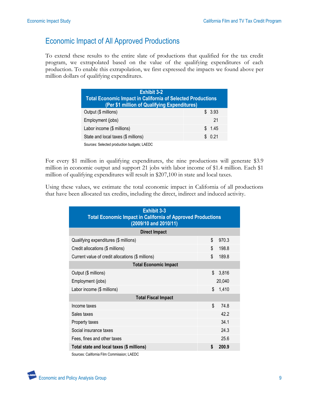#### Economic Impact of All Approved Productions

To extend these results to the entire slate of productions that qualified for the tax credit program, we extrapolated based on the value of the qualifying expenditures of each production. To enable this extrapolation, we first expressed the impacts we found above per million dollars of qualifying expenditures.

| <b>Exhibit 3-2</b><br><b>Total Economic Impact in California of Selected Productions</b><br>(Per \$1 million of Qualifying Expenditures) |         |
|------------------------------------------------------------------------------------------------------------------------------------------|---------|
| Output (\$ millions)                                                                                                                     | \$3.93  |
| Employment (jobs)                                                                                                                        | 21      |
| Labor income (\$ millions)                                                                                                               | \$ 1.45 |
| State and local taxes (\$ millions)                                                                                                      | \$0.21  |
| Sources: Selected production budgets; LAEDC                                                                                              |         |

For every \$1 million in qualifying expenditures, the nine productions will generate \$3.9 million in economic output and support 21 jobs with labor income of \$1.4 million. Each \$1 million of qualifying expenditures will result in \$207,100 in state and local taxes.

Using these values, we estimate the total economic impact in California of all productions that have been allocated tax credits, including the direct, indirect and induced activity.

| <b>Exhibit 3-3</b><br><b>Total Economic Impact in California of Approved Productions</b><br>(2009/10 and 2010/11) |        |  |  |
|-------------------------------------------------------------------------------------------------------------------|--------|--|--|
|                                                                                                                   |        |  |  |
| \$                                                                                                                | 970.3  |  |  |
| \$                                                                                                                | 198.8  |  |  |
| \$                                                                                                                | 189.8  |  |  |
| <b>Total Economic Impact</b>                                                                                      |        |  |  |
| \$                                                                                                                | 3,816  |  |  |
|                                                                                                                   | 20,040 |  |  |
| \$                                                                                                                | 1,410  |  |  |
| <b>Total Fiscal Impact</b>                                                                                        |        |  |  |
| \$                                                                                                                | 74.8   |  |  |
|                                                                                                                   | 42.2   |  |  |
|                                                                                                                   | 34.1   |  |  |
|                                                                                                                   | 24.3   |  |  |
|                                                                                                                   | 25.6   |  |  |
| \$                                                                                                                | 200.9  |  |  |
|                                                                                                                   |        |  |  |

Sources: California Film Commission; LAEDC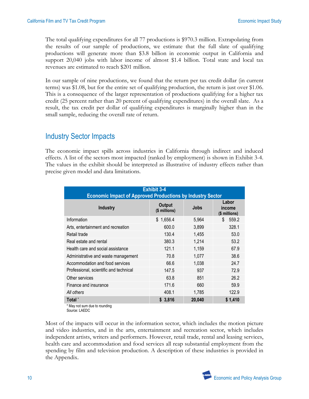The total qualifying expenditures for all 77 productions is \$970.3 million. Extrapolating from the results of our sample of productions, we estimate that the full slate of qualifying productions will generate more than \$3.8 billion in economic output in California and support 20,040 jobs with labor income of almost \$1.4 billion. Total state and local tax revenues are estimated to reach \$201 million.

In our sample of nine productions, we found that the return per tax credit dollar (in current terms) was \$1.08, but for the entire set of qualifying production, the return is just over \$1.06. This is a consequence of the larger representation of productions qualifying for a higher tax credit (25 percent rather than 20 percent of qualifying expenditures) in the overall slate. As a result, the tax credit per dollar of qualifying expenditures is marginally higher than in the small sample, reducing the overall rate of return.

#### Industry Sector Impacts

The economic impact spills across industries in California through indirect and induced effects. A list of the sectors most impacted (ranked by employment) is shown in Exhibit 3-4. The values in the exhibit should be interpreted as illustrative of industry effects rather than precise given model and data limitations.

| <b>Exhibit 3-4</b><br><b>Economic Impact of Approved Productions by Industry Sector</b> |                                |             |                                  |  |
|-----------------------------------------------------------------------------------------|--------------------------------|-------------|----------------------------------|--|
| <b>Industry</b>                                                                         | <b>Output</b><br>(\$ millions) | <b>Jobs</b> | Labor<br>income<br>(\$ millions) |  |
| Information                                                                             | 1,656.4<br>\$.                 | 5,964       | 559.2<br>S                       |  |
| Arts, entertainment and recreation                                                      | 600.0                          | 3,899       | 328.1                            |  |
| Retail trade                                                                            | 130.4                          | 1,455       | 53.0                             |  |
| Real estate and rental                                                                  | 380.3                          | 1,214       | 53.2                             |  |
| Health care and social assistance                                                       | 121.1                          | 1,159       | 67.9                             |  |
| Administrative and waste management                                                     | 70.8                           | 1,077       | 38.6                             |  |
| Accommodation and food services                                                         | 66.6                           | 1,038       | 24.7                             |  |
| Professional, scientific and technical                                                  | 147.5                          | 937         | 72.9                             |  |
| Other services                                                                          | 63.8                           | 851         | 26.2                             |  |
| Finance and insurance                                                                   | 171.6                          | 660         | 59.9                             |  |
| All others                                                                              | 408.1                          | 1,785       | 122.9                            |  |
| Total <sup>*</sup>                                                                      | \$3,816                        | 20,040      | \$1,410                          |  |
| * May not sum due to rounding                                                           |                                |             |                                  |  |

Source: LAEDC

Most of the impacts will occur in the information sector, which includes the motion picture and video industries, and in the arts, entertainment and recreation sector, which includes independent artists, writers and performers. However, retail trade, rental and leasing services, health care and accommodation and food services all reap substantial employment from the spending by film and television production. A description of these industries is provided in the Appendix.

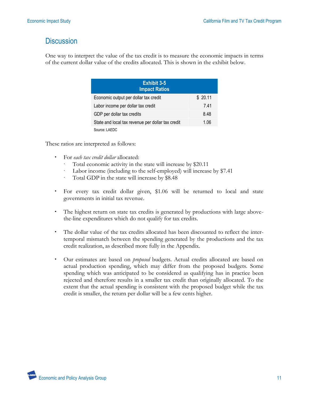#### **Discussion**

One way to interpret the value of the tax credit is to measure the economic impacts in terms of the current dollar value of the credits allocated. This is shown in the exhibit below.

| <b>Exhibit 3-5</b><br><b>Impact Ratios</b>        |         |
|---------------------------------------------------|---------|
| Economic output per dollar tax credit             | \$20.11 |
| Labor income per dollar tax credit                | 741     |
| GDP per dollar tax credits                        | 8.48    |
| State and local tax revenue per dollar tax credit | 1.06    |
| Source: LAEDC                                     |         |

These ratios are interpreted as follows:

- For *each tax credit dollar* allocated:
	- Total economic activity in the state will increase by \$20.11
	- Labor income (including to the self-employed) will increase by \$7.41
	- Total GDP in the state will increase by \$8.48
- For every tax credit dollar given, \$1.06 will be returned to local and state governments in initial tax revenue.
- The highest return on state tax credits is generated by productions with large abovethe-line expenditures which do not qualify for tax credits.
- The dollar value of the tax credits allocated has been discounted to reflect the intertemporal mismatch between the spending generated by the productions and the tax credit realization, as described more fully in the Appendix.
- Our estimates are based on *proposed* budgets. Actual credits allocated are based on actual production spending, which may differ from the proposed budgets. Some spending which was anticipated to be considered as qualifying has in practice been rejected and therefore results in a smaller tax credit than originally allocated. To the extent that the actual spending is consistent with the proposed budget while the tax credit is smaller, the return per dollar will be a few cents higher.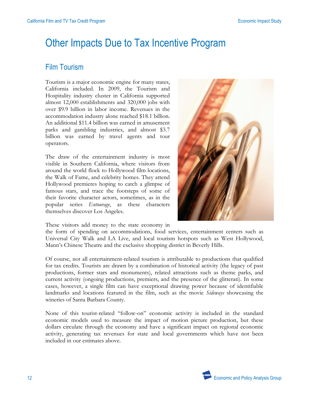## Other Impacts Due to Tax Incentive Program

#### Film Tourism

Tourism is a major economic engine for many states, California included. In 2009, the Tourism and Hospitality industry cluster in California supported almost 12,000 establishments and 320,000 jobs with over \$9.9 billion in labor income. Revenues in the accommodation industry alone reached \$18.1 billion. An additional \$11.4 billion was earned in amusement parks and gambling industries, and almost \$3.7 billion was earned by travel agents and tour operators.

The draw of the entertainment industry is most visible in Southern California, where visitors from around the world flock to Hollywood film locations, the Walk of Fame, and celebrity homes. They attend Hollywood premieres hoping to catch a glimpse of famous stars, and trace the footsteps of some of their favorite character actors, sometimes, as in the popular series *Entourage*, as these characters themselves discover Los Angeles.



These visitors add money to the state economy in

the form of spending on accommodations, food services, entertainment centers such as Universal City Walk and LA Live, and local tourism hotspots such as West Hollywood, Mann's Chinese Theatre and the exclusive shopping district in Beverly Hills.

Of course, not all entertainment-related tourism is attributable to productions that qualified for tax credits. Tourists are drawn by a combination of historical activity (the legacy of past productions, former stars and monuments), related attractions such as theme parks, and current activity (ongoing productions, premiers, and the presence of the glitterati). In some cases, however, a single film can have exceptional drawing power because of identifiable landmarks and locations featured in the film, such as the movie *Sideways* showcasing the wineries of Santa Barbara County.

None of this tourist-related "follow-on" economic activity is included in the standard economic models used to measure the impact of motion picture production, but these dollars circulate through the economy and have a significant impact on regional economic activity, generating tax revenues for state and local governments which have not been included in our estimates above.

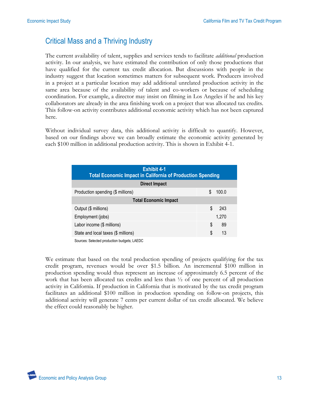#### Critical Mass and a Thriving Industry

The current availability of talent, supplies and services tends to facilitate *additional* production activity. In our analysis, we have estimated the contribution of only those productions that have qualified for the current tax credit allocation. But discussions with people in the industry suggest that location sometimes matters for subsequent work. Producers involved in a project at a particular location may add additional unrelated production activity in the same area because of the availability of talent and co-workers or because of scheduling coordination. For example, a director may insist on filming in Los Angeles if he and his key collaborators are already in the area finishing work on a project that was allocated tax credits. This follow-on activity contributes additional economic activity which has not been captured here.

Without individual survey data, this additional activity is difficult to quantify. However, based on our findings above we can broadly estimate the economic activity generated by each \$100 million in additional production activity. This is shown in Exhibit 4-1.

| <b>Exhibit 4-1</b><br><b>Total Economic Impact in California of Production Spending</b> |    |       |  |
|-----------------------------------------------------------------------------------------|----|-------|--|
| <b>Direct Impact</b>                                                                    |    |       |  |
| Production spending (\$ millions)                                                       | \$ | 100.0 |  |
| <b>Total Economic Impact</b>                                                            |    |       |  |
| Output (\$ millions)                                                                    | \$ | 243   |  |
| Employment (jobs)                                                                       |    | 1,270 |  |
| Labor income (\$ millions)                                                              | S  | 89    |  |
| State and local taxes (\$ millions)                                                     | \$ | 13    |  |
| Sources: Selected production budgets: LAEDC                                             |    |       |  |

We estimate that based on the total production spending of projects qualifying for the tax credit program, revenues would be over \$1.5 billion. An incremental \$100 million in production spending would thus represent an increase of approximately 6.5 percent of the work that has been allocated tax credits and less than ½ of one percent of all production activity in California. If production in California that is motivated by the tax credit program facilitates an additional \$100 million in production spending on follow-on projects, this additional activity will generate 7 cents per current dollar of tax credit allocated. We believe the effect could reasonably be higher.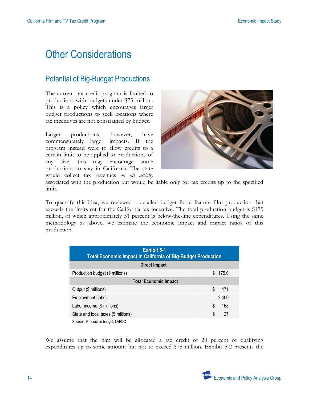## Other Considerations

#### Potential of Big-Budget Productions

The current tax credit program is limited to productions with budgets under \$75 million. This is a policy which encourages larger budget productions to seek locations where tax incentives are not constrained by budget.

Larger productions, however, have commensurately larger impacts. If the program instead were to allow credits to a certain limit to be applied to productions of any size, this may encourage some productions to stay in California. The state would collect tax revenues *on all activity*



associated with the production but would be liable only for tax credits up to the specified limit.

To quantify this idea, we reviewed a detailed budget for a feature film production that exceeds the limits set for the California tax incentive. The total production budget is \$175 million, of which approximately 51 percent is below-the-line expenditures. Using the same methodology as above, we estimate the economic impact and impact ratios of this production.

| <b>Exhibit 5-1</b><br><b>Total Economic Impact in California of Big-Budget Production</b> |             |  |  |
|-------------------------------------------------------------------------------------------|-------------|--|--|
| <b>Direct Impact</b>                                                                      |             |  |  |
| Production budget (\$ millions)                                                           | \$<br>175.0 |  |  |
| <b>Total Economic Impact</b>                                                              |             |  |  |
| Output (\$ millions)                                                                      | \$<br>471   |  |  |
| Employment (jobs)                                                                         | 2,400       |  |  |
| Labor income (\$ millions)                                                                | S<br>168    |  |  |
| State and local taxes (\$ millions)                                                       | 27<br>\$    |  |  |
| Sources: Production budget; LAEDC                                                         |             |  |  |

We assume that the film will be allocated a tax credit of 20 percent of qualifying expenditures up to some amount but not to exceed \$75 million. Exhibit 5-2 presents the

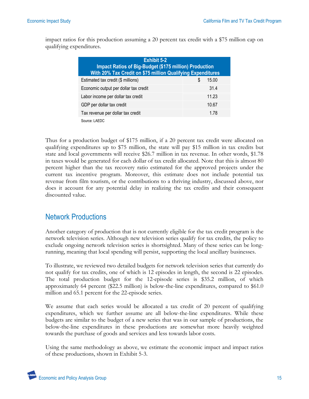impact ratios for this production assuming a 20 percent tax credit with a \$75 million cap on qualifying expenditures.

| <b>Exhibit 5-2</b><br><b>Impact Ratios of Big-Budget (\$175 million) Production</b><br>With 20% Tax Credit on \$75 million Qualifying Expenditures |            |  |  |
|----------------------------------------------------------------------------------------------------------------------------------------------------|------------|--|--|
| Estimated tax credit (\$ millions)                                                                                                                 | S<br>15.00 |  |  |
| Economic output per dollar tax credit                                                                                                              | 31.4       |  |  |
| Labor income per dollar tax credit                                                                                                                 | 11.23      |  |  |
| GDP per dollar tax credit                                                                                                                          | 10.67      |  |  |
| Tax revenue per dollar tax credit                                                                                                                  | 1.78       |  |  |
| Source: LAEDC                                                                                                                                      |            |  |  |

Thus for a production budget of \$175 million, if a 20 percent tax credit were allocated on qualifying expenditures up to \$75 million, the state will pay \$15 million in tax credits but state and local governments will receive \$26.7 million in tax revenue. In other words, \$1.78 in taxes would be generated for each dollar of tax credit allocated. Note that this is almost 80 percent higher than the tax recovery ratio estimated for the approved projects under the current tax incentive program. Moreover, this estimate does not include potential tax revenue from film tourism, or the contributions to a thriving industry, discussed above, nor does it account for any potential delay in realizing the tax credits and their consequent discounted value.

#### Network Productions

Another category of production that is not currently eligible for the tax credit program is the network television series. Although new television series qualify for tax credits, the policy to exclude ongoing network television series is shortsighted. Many of these series can be longrunning, meaning that local spending will persist, supporting the local ancillary businesses.

To illustrate, we reviewed two detailed budgets for network television series that currently do not qualify for tax credits, one of which is 12 episodes in length, the second is 22 episodes. The total production budget for the 12-episode series is \$35.2 million, of which approximately 64 percent (\$22.5 million) is below-the-line expenditures, compared to \$61.0 million and 65.1 percent for the 22-episode series.

We assume that each series would be allocated a tax credit of 20 percent of qualifying expenditures, which we further assume are all below-the-line expenditures. While these budgets are similar to the budget of a new series that was in our sample of productions, the below-the-line expenditures in these productions are somewhat more heavily weighted towards the purchase of goods and services and less towards labor costs.

Using the same methodology as above, we estimate the economic impact and impact ratios of these productions, shown in Exhibit 5-3.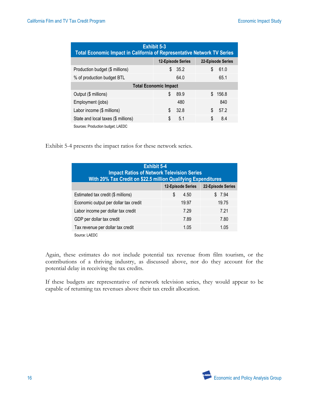| <b>Exhibit 5-3</b><br><b>Total Economic Impact in California of Representative Network TV Series</b> |                          |                   |  |  |
|------------------------------------------------------------------------------------------------------|--------------------------|-------------------|--|--|
|                                                                                                      | <b>12-Episode Series</b> | 22-Episode Series |  |  |
| Production budget (\$ millions)                                                                      | 35.2<br>\$               | \$<br>61.0        |  |  |
| % of production budget BTL                                                                           | 64.0                     | 65.1              |  |  |
| <b>Total Economic Impact</b>                                                                         |                          |                   |  |  |
| Output (\$ millions)                                                                                 | \$<br>89.9               | \$<br>156.8       |  |  |
| Employment (jobs)                                                                                    | 480                      | 840               |  |  |
| Labor income (\$ millions)                                                                           | \$<br>32.8               | 57.2<br>\$        |  |  |
| State and local taxes (\$ millions)                                                                  | \$<br>5.1                | 8.4<br>\$         |  |  |
| Sources: Production budget; LAEDC                                                                    |                          |                   |  |  |

Exhibit 5-4 presents the impact ratios for these network series.

| <b>Exhibit 5-4</b><br><b>Impact Ratios of Network Television Series</b><br><b>With 20% Tax Credit on \$22.5 million Qualifying Expenditures</b> |                          |                   |  |
|-------------------------------------------------------------------------------------------------------------------------------------------------|--------------------------|-------------------|--|
|                                                                                                                                                 | <b>12-Episode Series</b> | 22-Episode Series |  |
| Estimated tax credit (\$ millions)                                                                                                              | \$<br>4.50               | \$7.94            |  |
| Economic output per dollar tax credit                                                                                                           | 19.97                    | 19.75             |  |
| Labor income per dollar tax credit                                                                                                              | 7.29                     | 7 21              |  |
| GDP per dollar tax credit                                                                                                                       | 7.89                     | 7.80              |  |
| Tax revenue per dollar tax credit                                                                                                               | 1.05                     | 1.05              |  |
| Source: LAEDC                                                                                                                                   |                          |                   |  |

Again, these estimates do not include potential tax revenue from film tourism, or the contributions of a thriving industry, as discussed above, nor do they account for the potential delay in receiving the tax credits.

If these budgets are representative of network television series, they would appear to be capable of returning tax revenues above their tax credit allocation.

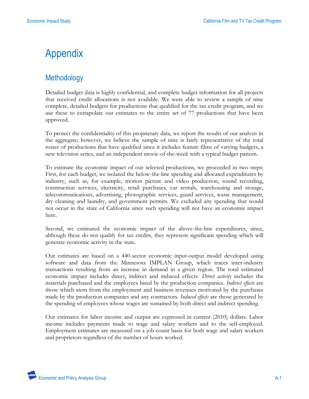## Appendix

#### **Methodology**

Detailed budget data is highly confidential, and complete budget information for all projects that received credit allocations is not available. We were able to review a sample of nine complete, detailed budgets for productions that qualified for the tax credit program, and we use these to extrapolate our estimates to the entire set of 77 productions that have been approved.

To protect the confidentiality of this proprietary data, we report the results of our analysis in the aggregate; however, we believe the sample of nine is fairly representative of the total roster of productions that have qualified since it includes feature films of varying budgets, a new television series, and an independent movie-of-the-week with a typical budget pattern.

To estimate the economic impact of our selected productions, we proceeded in two steps: First, for each budget, we isolated the below-the-line spending and allocated expenditures by industry, such as, for example, motion picture and video production, sound recording, construction services, electricity, retail purchases, car rentals, warehousing and storage, telecommunications, advertising, photographic services, guard services, waste management, dry cleaning and laundry, and government permits. We excluded any spending that would not occur in the state of California since such spending will not have an economic impact here.

Second, we estimated the economic impact of the above-the-line expenditures, since, although these do not qualify for tax credits, they represent significant spending which will generate economic activity in the state.

Our estimates are based on a 440-sector economic input-output model developed using software and data from the Minnesota IMPLAN Group, which traces inter-industry transactions resulting from an increase in demand in a given region. The total estimated economic impact includes direct, indirect and induced effects. *Direct activity* includes the materials purchased and the employees hired by the production companies. *Indirect effects* are those which stem from the employment and business revenues motivated by the purchases made by the production companies and any contractors. *Induced effects* are those generated by the spending of employees whose wages are sustained by both direct and indirect spending.

Our estimates for labor income and output are expressed in current (2010) dollars. Labor income includes payments made to wage and salary workers and to the self-employed. Employment estimates are measured on a job-count basis for both wage and salary workers and proprietors regardless of the number of hours worked.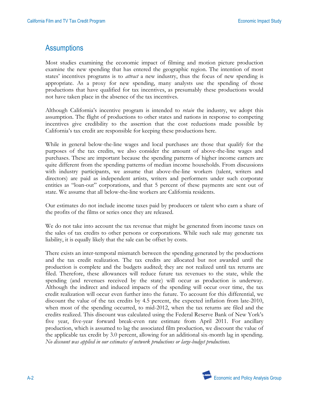#### **Assumptions**

Most studies examining the economic impact of filming and motion picture production examine the new spending that has entered the geographic region. The intention of most states' incentives programs is to *attract* a new industry, thus the focus of new spending is appropriate. As a proxy for new spending, many analysts use the spending of those productions that have qualified for tax incentives, as presumably these productions would not have taken place in the absence of the tax incentives.

Although California's incentive program is intended to *retain* the industry, we adopt this assumption. The flight of productions to other states and nations in response to competing incentives give credibility to the assertion that the cost reductions made possible by California's tax credit are responsible for keeping these productions here.

While in general below-the-line wages and local purchases are those that qualify for the purposes of the tax credits, we also consider the amount of above-the-line wages and purchases. These are important because the spending patterns of higher income earners are quite different from the spending patterns of median income households. From discussions with industry participants, we assume that above-the-line workers (talent, writers and directors) are paid as independent artists, writers and performers under such corporate entities as "loan-out" corporations, and that 5 percent of these payments are sent out of state. We assume that all below-the-line workers are California residents.

Our estimates do not include income taxes paid by producers or talent who earn a share of the profits of the films or series once they are released.

We do not take into account the tax revenue that might be generated from income taxes on the sales of tax credits to other persons or corporations. While such sale may generate tax liability, it is equally likely that the sale can be offset by costs.

There exists an inter-temporal mismatch between the spending generated by the productions and the tax credit realization. The tax credits are allocated but not awarded until the production is complete and the budgets audited; they are not realized until tax returns are filed. Therefore, these allowances will reduce future tax revenues to the state, while the spending (and revenues received by the state) will occur as production is underway. Although the indirect and induced impacts of the spending will occur over time, the tax credit realization will occur even further into the future. To account for this differential, we discount the value of the tax credits by 4.5 percent, the expected inflation from late-2010, when most of the spending occurred, to mid-2012, when the tax returns are filed and the credits realized. This discount was calculated using the Federal Reserve Bank of New York's five year, five-year forward break-even rate estimate from April 2011. For ancillary production, which is assumed to lag the associated film production, we discount the value of the applicable tax credit by 3.0 percent, allowing for an additional six-month lag in spending. *No discount was applied in our estimates of network productions or large-budget productions.*

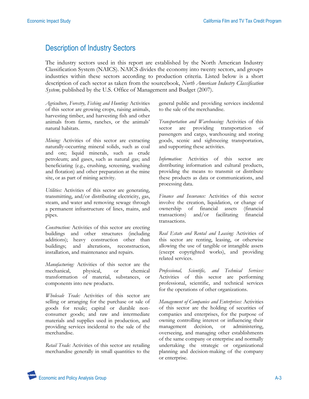#### Description of Industry Sectors

The industry sectors used in this report are established by the North American Industry Classification System (NAICS). NAICS divides the economy into twenty sectors, and groups industries within these sectors according to production criteria. Listed below is a short description of each sector as taken from the sourcebook, *North American Industry Classification System,* published by the U.S. Office of Management and Budget (2007).

*Agriculture, Forestry, Fishing and Hunting:* Activities of this sector are growing crops, raising animals, harvesting timber, and harvesting fish and other animals from farms, ranches, or the animals' natural habitats.

*Mining:* Activities of this sector are extracting naturally-occurring mineral solids, such as coal and ore; liquid minerals, such as crude petroleum; and gases, such as natural gas; and beneficiating (e.g., crushing, screening, washing and flotation) and other preparation at the mine site, or as part of mining activity.

*Utilities:* Activities of this sector are generating, transmitting, and/or distributing electricity, gas, steam, and water and removing sewage through a permanent infrastructure of lines, mains, and pipes.

*Construction:* Activities of this sector are erecting buildings and other structures (including additions); heavy construction other than buildings; and alterations, reconstruction, installation, and maintenance and repairs.

*Manufacturing:* Activities of this sector are the mechanical, physical, or chemical transformation of material, substances, or components into new products.

*Wholesale Trade:* Activities of this sector are selling or arranging for the purchase or sale of goods for resale; capital or durable nonconsumer goods; and raw and intermediate materials and supplies used in production, and providing services incidental to the sale of the merchandise.

*Retail Trade:* Activities of this sector are retailing merchandise generally in small quantities to the

general public and providing services incidental to the sale of the merchandise.

*Transportation and Warehousing:* Activities of this sector are providing transportation of passengers and cargo, warehousing and storing goods, scenic and sightseeing transportation, and supporting these activities.

*Information:* Activities of this sector are distributing information and cultural products, providing the means to transmit or distribute these products as data or communications, and processing data.

*Finance and Insurance:* Activities of this sector involve the creation, liquidation, or change of ownership of financial assets (financial transactions) and/or facilitating financial transactions.

*Real Estate and Rental and Leasing:* Activities of this sector are renting, leasing, or otherwise allowing the use of tangible or intangible assets (except copyrighted works), and providing related services.

*Professional, Scientific, and Technical Services:*  Activities of this sector are performing professional, scientific, and technical services for the operations of other organizations.

*Management of Companies and Enterprises:* Activities of this sector are the holding of securities of companies and enterprises, for the purpose of owning controlling interest or influencing their management decision, or administering, overseeing, and managing other establishments of the same company or enterprise and normally undertaking the strategic or organizational planning and decision-making of the company or enterprise.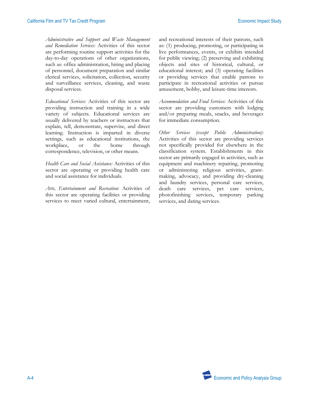*Administrative and Support and Waste Management and Remediation Services:* Activities of this sector are performing routine support activities for the day-to-day operations of other organizations, such as: office administration, hiring and placing of personnel, document preparation and similar clerical services, solicitation, collection, security and surveillance services, cleaning, and waste disposal services.

*Educational Services:* Activities of this sector are providing instruction and training in a wide variety of subjects. Educational services are usually delivered by teachers or instructors that explain, tell, demonstrate, supervise, and direct learning. Instruction is imparted in diverse settings, such as educational institutions, the workplace, or the home through correspondence, television, or other means.

*Health Care and Social Assistance:* Activities of this sector are operating or providing health care and social assistance for individuals.

*Arts, Entertainment and Recreation:* Activities of this sector are operating facilities or providing services to meet varied cultural, entertainment, and recreational interests of their patrons, such as: (1) producing, promoting, or participating in live performances, events, or exhibits intended for public viewing; (2) preserving and exhibiting objects and sites of historical, cultural, or educational interest; and (3) operating facilities or providing services that enable patrons to participate in recreational activities or pursue amusement, hobby, and leisure-time interests.

*Accommodation and Food Services:* Activities of this sector are providing customers with lodging and/or preparing meals, snacks, and beverages for immediate consumption.

*Other Services (except Public Administration):*  Activities of this sector are providing services not specifically provided for elsewhere in the classification system. Establishments in this sector are primarily engaged in activities, such as equipment and machinery repairing, promoting or administering religious activities, grantmaking, advocacy, and providing dry-cleaning and laundry services, personal care services, death care services, pet care services, photofinishing services, temporary parking services, and dating services.